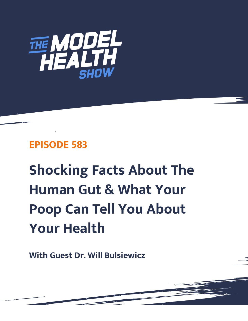

## **EPISODE 583**

# **Shocking Facts About The Human Gut & What Your Poop Can Tell You About Your Health**

**With Guest Dr. Will Bulsiewicz**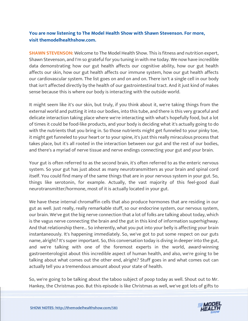### **You are now listening to The Model Health Show with Shawn Stevenson. For more, visit themodelhealthshow.com.**

**SHAWN STEVENSON:** Welcome to The Model Health Show. This is fitness and nutrition expert, Shawn Stevenson, and I'm so grateful for you tuning in with me today. We now have incredible data demonstrating how our gut health affects our cognitive ability, how our gut health affects our skin, how our gut health affects our immune system, how our gut health affects our cardiovascular system. The list goes on and on and on. There isn't a single cell in our body that isn't affected directly by the health of our gastrointestinal tract. And it just kind of makes sense because this is where our body is interacting with the outside world.

It might seem like it's our skin, but truly, if you think about it, we're taking things from the external world and putting it into our bodies, into this tube, and there is this very graceful and delicate interaction taking place where we're interacting with what's hopefully food, but a lot of times it could be food-like products, and your body is deciding what it's actually going to do with the nutrients that you bring in. So those nutrients might get funneled to your pinky toe, it might get funneled to your heart or to your spine, it's just this really miraculous process that takes place, but it's all rooted in the interaction between our gut and the rest of our bodies, and there's a myriad of nerve tissue and nerve endings connecting your gut and your brain.

Your gut is often referred to as the second brain, it's often referred to as the enteric nervous system. So your gut has just about as many neurotransmitters as your brain and spinal cord itself. You could find many of the same things that are in your nervous system in your gut. So, things like serotonin, for example. Actually, the vast majority of this feel-good dual neurotransmitter/hormone, most of it is actually located in your gut.

We have these internal chromaffin cells that also produce hormones that are residing in our gut as well. Just really, really remarkable stuff, so our endocrine system, our nervous system, our brain. We've got the big nerve connection that a lot of folks are talking about today, which is the vagus nerve connecting the brain and the gut in this kind of information superhighway. And that relationship there... So inherently, what you put into your belly is affecting your brain instantaneously. It's happening immediately. So, we've got to put some respect on our guts name, alright? It's super important. So, this conversation today is diving in deeper into the gut, and we're talking with one of the foremost experts in the world, award-winning gastroenterologist about this incredible aspect of human health, and also, we're going to be talking about what comes out the other end, alright? Stuff goes in and what comes out can actually tell you a tremendous amount about your state of health.

So, we're going to be talking about the taboo subject of poop today as well. Shout out to Mr. [Hankey, the Christmas poo. But this episode is like Christmas as well, we](https://themodelhealthshow.com/will-bulsiewicz-human-gut/)'[ve got lots of gifts to](https://themodelhealthshow.com/will-bulsiewicz-human-gut/) 

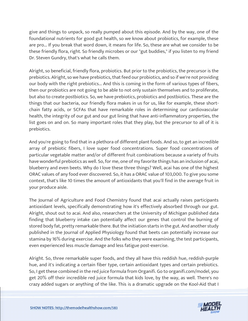give and things to unpack, so really pumped about this episode. And by the way, one of the foundational nutrients for good gut health, so we know about probiotics, for example, these are pro... If you break that word down, it means for life. So, these are what we consider to be these friendly flora, right. So friendly microbes or our "gut buddies," if you listen to my friend Dr. Steven Gundry, that's what he calls them.

Alright, so beneficial, friendly flora, probiotics. But prior to the probiotics, the precursor is the prebiotics. Alright, so we have prebiotics, that feed our probiotics, and so if we're not providing our body with the right prebiotics... And this is coming in the form of various types of fibers, then our probiotics are not going to be able to not only sustain themselves and to proliferate, but also to create postbiotics. So, we have prebiotics, probiotics and postbiotics. These are the things that our bacteria, our friendly flora makes in us for us, like for example, these shortchain fatty acids, or SCFAs that have remarkable roles in determining our cardiovascular health, the integrity of our gut and our gut lining that have anti-inflammatory properties, the list goes on and on. So many important roles that they play, but the precursor to all of it is prebiotics.

And you're going to find that in a plethora of different plant foods. And so, to get an incredible array of prebiotic fibers, I love super food concentrations. Super food concentrations of particular vegetable matter and/or of different fruit combinations because a variety of fruits have wonderful prebiotics as well. So, for me, one of my favorite things has an inclusion of acai, blueberry and even beets. Why do I love these three things? Well, acai has one of the highest ORAC values of any food ever discovered. So, it has a ORAC value of 103,000. To give you some context, that's like 10 times the amount of antioxidants that you'll find in the average fruit in your produce aisle.

The Journal of Agriculture and Food Chemistry found that acai actually raises participants antioxidant levels, specifically demonstrating how it's effectively absorbed through our gut. Alright, shout out to acai. And also, researchers at the University of Michigan published data finding that blueberry intake can potentially affect our genes that control the burning of stored body fat, pretty remarkable there. But the initiation starts in the gut. And another study published in the Journal of Applied Physiology found that beets can potentially increase our stamina by 16% during exercise. And the folks who they were examining, the test participants, even experienced less muscle damage and less fatigue post-exercise.

Alright. So, three remarkable super foods, and they all have this reddish hue, reddish-purple hue, and it's indicating a certain fiber type, certain antioxidant types and certain prebiotics. So, I get these combined in the red juice formula from Organifi. Go to organifi.com/model, you get 20% off their incredible red juice formula that kids love, by the way, as well. There's no [crazy added sugars or anything of the like. This is a dramatic upgrade on the Kool-Aid that I](https://themodelhealthshow.com/will-bulsiewicz-human-gut/)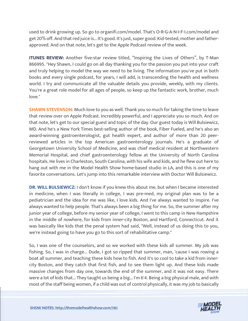used to drink growing up. So go to organifi.com/model. That's O-R-G-A-N-I-F-I.com/model and get 20% off. And that red juice is... It's good. It's just, super good. Kid-tested, mother and fatherapproved. And on that note, let's get to the Apple Podcast review of the week.

**ITUNES REVIEW:** Another five-star review titled, "Inspiring the Lives of Others", by T-Man 866995. "Hey Shawn, I could go on all day thanking you for the passion you put into your craft and truly helping to model the way we need to be living. The information you've put in both books and every single podcast, for years, I will add, is transcending the health and wellness world. I try and communicate all the valuable details you provide, weekly, with my clients. You're a great role model for all ages of people, so keep up the fantastic work, brother, much love."

**SHAWN STEVENSON:** Much love to you as well. Thank you so much for taking the time to leave that review over on Apple Podcast. Incredibly powerful, and I appreciate you so much. And on that note, let's get to our special guest and topic of the day. Our guest today is Will Bulsiewicz, MD. And he's a New York Times best-selling author of the book, Fiber Fueled, and he's also an award-winning gastroenterologist, gut health expert, and author of more than 20 peerreviewed articles in the top American gastroenterology journals. He's a graduate of Georgetown University School of Medicine, and was chief medical resident at Northwestern Memorial Hospital, and chief gastroenterology fellow at the University of North Carolina hospitals. He lives in Charleston, South Carolina, with his wife and kids, and he flew out here to hang out with me in the Model Health Show home-based studio in LA, and this is one of my favorite conversations. Let's jump into this remarkable interview with Doctor Will Bulsiewicz.

**DR. WILL BULSIEWICZ:** I don't know if you knew this about me, but when I became interested in medicine, when I was literally in college, I was pre-med, my original plan was to be a pediatrician and the idea for me was like, I love kids. And I've always wanted to inspire. I've always wanted to help people. That's always been a big thing for me. So, the summer after my junior year of college, before my senior year of college, I went to this camp in New Hampshire in the middle of nowhere, for kids from inner-city Boston, and Hartford, Connecticut. And it was basically like kids that the penal system had said, "Well, instead of us doing this to you, we're instead going to have you go to this sort of rehabilitative camp."

So, I was one of the counselors, and so we worked with these kids all summer. My job was fishing. So, I was in charge... Dude, I got so ripped that summer, man, 'cause I was rowing a boat all summer, and teaching these kids how to fish. And it's so cool to take a kid from innercity Boston, and they catch that first fish, and to see them light up. And these kids made massive changes from day one, towards the end of the summer, and it was not easy. There were a lot of kids that... They taught us being a big... I'm 6'4. Being a big physical male, and with [most of the staff being women, if a child was out of control physically, it was my job to basically](https://themodelhealthshow.com/will-bulsiewicz-human-gut/)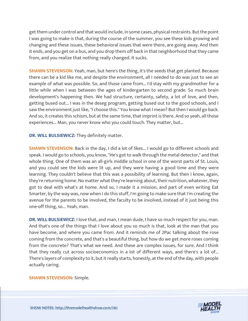get them under control and that would include, in some cases, physical restraints. But the point I was going to make is that, during the course of the summer, you see these kids growing and changing and these issues, these behavioral issues that were there, are going away. And then it ends, and you get on a bus, and you drop them off back in that neighborhood that they came from, and you realize that nothing really changed. It sucks.

**SHAWN STEVENSON:** Yeah, man, but here's the thing, it's the seeds that get planted. Because there can be a kid like me, and despite the environment, all I needed to do was just to see an example of what was possible. So, and those came from... I'd stay with my grandmother for a little while when I was between the ages of kindergarten to second grade. So much brain development's happening then. We had structure, certainty, safety, a lot of love, and then, getting bused out... I was in the deseg program, getting bused out to the good schools, and I saw the environment just like, "I choose this." You know what I mean? But then I would go back. And so, it creates this schism, but at the same time, that imprint is there. And so yeah, all those experiences... Man, you never know who you could touch. They matter, but...

**DR. WILL BULSIEWICZ:** They definitely matter.

**SHAWN STEVENSON:** Back in the day, I did a lot of likes... I would go to different schools and speak. I would go to schools, you know, "He's got to walk through the metal detector," and that whole thing. One of them was an all-girls middle school in one of the worst parts of St. Louis, and you could see the kids were lit up, and they were having a good time and they were learning. They couldn't believe that this was a possibility of learning. But then I know, again, they're returning home. No matter what they're learning about, their nutrition, whatever, they got to deal with what's at home. And so, I made it a mission, and part of even writing Eat Smarter, by the way was, now when I do this stuff, I'm going to make sure that I'm creating the avenue for the parents to be involved, the faculty to be involved, instead of it just being this one-off thing, so... Yeah, man.

**DR. WILL BULSIEWICZ:** I love that, and man, I mean dude, I have so much respect for you, man. And that's one of the things that I love about you so much is that, look at the man that you have become, and where you came from. And it reminds me of 2Pac talking about the rose coming from the concrete, and that's a beautiful thing, but how do we get more roses coming from the concrete? That's what we need. And these are complex issues, for sure. And I think that they really cut across socioeconomics in a lot of different ways, and there's a lot of... There's layers of complexity to it, but it really starts, honestly, at the end of the day, with people actually caring.

#### **SHAWN STEVENSON:** Simple.

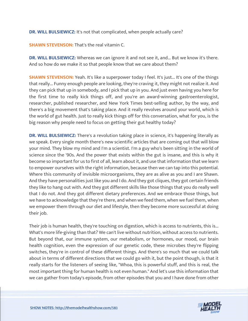#### **DR. WILL BULSIEWICZ:** It's not that complicated, when people actually care?

**SHAWN STEVENSON: That's the real vitamin C.** 

**DR. WILL BULSIEWICZ:** Whereas we can ignore it and not see it, and... But we know it's there. And so how do we make it so that people know that we care about them?

**SHAWN STEVENSON:** Yeah. It's like a superpower today I feel. It's just... It's one of the things that really... Funny enough people are looking, they're craving it, they might not realize it. And they can pick that up in somebody, and I pick that up in you. And just even having you here for the first time to really kick things off, and you're an award-winning gastroenterologist, researcher, published researcher, and New York Times best-selling author, by the way, and there's a big movement that's taking place. And it really revolves around your world, which is the world of gut health. Just to really kick things off for this conversation, what for you, is the big reason why people need to focus on getting their gut healthy today?

**DR. WILL BULSIEWICZ:** There's a revolution taking place in science, it's happening literally as we speak. Every single month there's new scientific articles that are coming out that will blow your mind. They blow my mind and I'm a scientist. I'm a guy who's been sitting in the world of science since the '90s. And the power that exists within the gut is insane, and this is why it become so important for us to first of all, learn about it, and use that information that we learn to empower ourselves with the right information, because then we can tap into this potential. Where this community of invisible microorganisms, they are as alive as you and I are Shawn. And they have personalities just like you and I do. And they got cliques, they got certain friends they like to hang out with. And they got different skills like those things that you do really well that I do not. And they got different dietary preferences. And we embrace those things, but we have to acknowledge that they're there, and when we feed them, when we fuel them, when we empower them through our diet and lifestyle, then they become more successful at doing their job.

Their job is human health, they're touching on digestion, which is access to nutrients, this is... What's more life-giving than that? We can't live without nutrition, without access to nutrients. But beyond that, our immune system, our metabolism, or hormones, our mood, our brain health cognition, even the expression of our genetic code, these microbes they're flipping switches, they're in control of these different things. And there's so much that we could talk about in terms of different directions that we could go with it, but the point though, is that it really starts for the listeners of seeing like, "Whoa, this is powerful stuff, and this is real, the most important thing for human health is not even human." And let's use this information that we can gather from today's episode, from other episodes that you and I have done from other

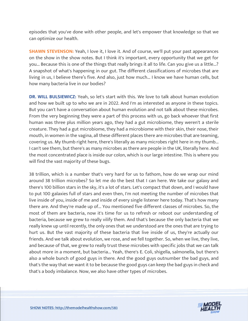episodes that you've done with other people, and let's empower that knowledge so that we can optimize our health.

**SHAWN STEVENSON:** Yeah, I love it, I love it. And of course, we'll put your past appearances on the show in the show notes. But I think it's important, every opportunity that we get for you... Because this is one of the things that really brings it all to life. Can you give us a little...? A snapshot of what's happening in our gut. The different classifications of microbes that are living in us, I believe there's five. And also, just how much... I know we have human cells, but how many bacteria live in our bodies?

**DR. WILL BULSIEWICZ:** Yeah, so let's start with this. We love to talk about human evolution and how we built up to who we are in 2022. And I'm as interested as anyone in these topics. But you can't have a conversation about human evolution and not talk about these microbes. From the very beginning they were a part of this process with us, go back whoever that first human was three plus million years ago, they had a gut microbiome, they weren't a sterile creature. They had a gut microbiome, they had a microbiome with their skin, their nose, their mouth, in women in the vagina, all these different places there are microbes that are teaming, covering us. My thumb right here, there's literally as many microbes right here in my thumb... I can't see them, but there's as many microbes as there are people in the UK, literally here. And the most concentrated place is inside our colon, which is our large intestine. This is where you will find the vast majority of these bugs.

38 trillion, which is a number that's very hard for us to fathom, how do we wrap our mind around 38 trillion microbes? So let me do the best that I can here. We take our galaxy and there's 100 billion stars in the sky, it's a lot of stars. Let's compact that down, and I would have to put 100 galaxies full of stars and even then, I'm not meeting the number of microbes that live inside of you, inside of me and inside of every single listener here today. That's how many there are. And they're made up of... You mentioned five different classes of microbes. So, the most of them are bacteria, now it's time for us to refresh or reboot our understanding of bacteria, because we grew to really vilify them. And that's because the only bacteria that we really knew up until recently, the only ones that we understood are the ones that are trying to hurt us. But the vast majority of these bacteria that live inside of us, they're actually our friends. And we talk about evolution, we rose, and we fell together. So, when we live, they live, and because of that, we grew to really trust these microbes with specific jobs that we can talk about more in a moment, but bacteria... Yeah, there's E. Coli, shigella, salmonella, but there's also a whole bunch of good guys in there. And the good guys outnumber the bad guys, and that's the way that we want it to be because the good guys can keep the bad guys in check and that's a body imbalance. Now, we also have other types of microbes.

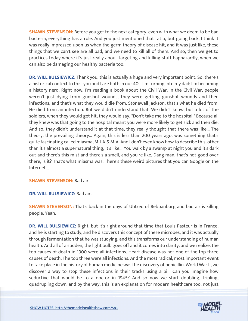**SHAWN STEVENSON:** Before you get to the next category, even with what we deem to be bad bacteria, everything has a role. And you just mentioned that ratio, but going back, I think it was really impressed upon us when the germ theory of disease hit, and it was just like, these things that we can't see are all bad, and we need to kill all of them. And so, then we get to practices today where it's just really about targeting and killing stuff haphazardly, when we can also be damaging our healthy bacteria too.

**DR. WILL BULSIEWICZ:** Thank you, this is actually a huge and very important point. So, there's a historical context to this, you and I are both in our 40s. I'm turning into my dad; I'm becoming a history nerd. Right now, I'm reading a book about the Civil War. In the Civil War, people weren't just dying from gunshot wounds, they were getting gunshot wounds and then infections, and that's what they would die from. Stonewall Jackson, that's what he died from. He died from an infection. But we didn't understand that. We didn't know, but a lot of the soldiers, when they would get hit, they would say, "Don't take me to the hospital." Because all they knew was that going to the hospital meant you were more likely to get sick and then die. And so, they didn't understand it at that time, they really thought that there was like... The theory, the prevailing theory... Again, this is less than 200 years ago, was something that's quite fascinating called miasma, M-I-A-S-M-A. And I don't even know how to describe this, other than it's almost a supernatural thing, it's like... You walk by a swamp at night you and it's dark out and there's this mist and there's a smell, and you're like, Dang man, that's not good over there, is it? That's what miasma was. There's these weird pictures that you can Google on the Internet...

#### **SHAWN STEVENSON: Bad air.**

**DR. WILL BULSIEWICZ:** Bad air.

**SHAWN STEVENSON:** That's back in the days of Uhtred of Bebbanburg and bad air is killing people. Yeah.

**DR. WILL BULSIEWICZ:** Right, but it's right around that time that Louis Pasteur is in France, and he is starting to study, and he discovers this concept of these microbes, and it was actually through fermentation that he was studying, and this transforms our understanding of human health. And all of a sudden, the light bulb goes off and it comes into clarity, and we realize, the top causes of death in 1900 were all infections. Heart disease was not one of the top three causes of death. The top three were all infections. And the most radical, most important event to take place in the history of human medicine was the discovery of penicillin. World War II, we discover a way to stop these infections in their tracks using a pill. Can you imagine how seductive that would be to a doctor in 1945? And so now we start doubling, tripling, [quadrupling down, and by the way, this is an explanation for modern healthcare too, not just](https://themodelhealthshow.com/will-bulsiewicz-human-gut/)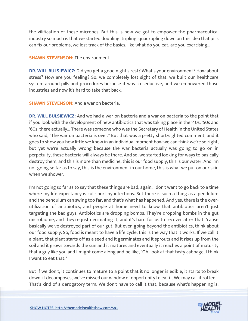the vilification of these microbes. But this is how we got to empower the pharmaceutical industry so much is that we started doubling, tripling, quadrupling down on this idea that pills can fix our problems, we lost track of the basics, like what do you eat, are you exercising...

**SHAWN STEVENSON:** The environment.

**DR. WILL BULSIEWICZ:** Did you get a good night's rest? What's your environment? How about stress? How are you feeling? So, we completely lost sight of that, we built our healthcare system around pills and procedures because it was so seductive, and we empowered those industries and now it's hard to take that back.

**SHAWN STEVENSON:** And a war on bacteria.

**DR. WILL BULSIEWICZ:** And we had a war on bacteria and a war on bacteria to the point that if you look with the development of new antibiotics that was taking place in the '40s, '50s and '60s, there actually... There was someone who was the Secretary of Health in the United States who said, "The war on bacteria is over." But that was a pretty short-sighted comment, and it goes to show you how little we know in an individual moment how we can think we're so right, but yet we're actually wrong because the war bacteria actually was going to go on in perpetuity, these bacteria will always be there. And so, we started looking for ways to basically destroy them, and this is more than medicine, this is our food supply, this is our water. And I'm not going so far as to say, this is the environment in our home, this is what we put on our skin when we shower.

I'm not going so far as to say that these things are bad, again, I don't want to go back to a time where my life expectancy is cut short by infections. But there is such a thing as a pendulum and the pendulum can swing too far, and that's what has happened. And yes, there is the overutilization of antibiotics, and people at home need to know that antibiotics aren't just targeting the bad guys. Antibiotics are dropping bombs. They're dropping bombs in the gut microbiome, and they're just decimating it, and it's hard for us to recover after that, 'cause basically we've destroyed part of our gut. But even going beyond the antibiotics, think about our food supply. So, food is meant to have a life cycle, this is the way that it works. If we call it a plant, that plant starts off as a seed and it germinates and it sprouts and it rises up from the soil and it grows towards the sun and it matures and eventually it reaches a point of maturity that a guy like you and I might come along and be like, "Oh, look at that tasty cabbage, I think I want to eat that."

But if we don't, it continues to mature to a point that it no longer is edible, it starts to break down, it decomposes, we've missed our window of opportunity to eat it. We may call it rotten... [That](https://themodelhealthshow.com/will-bulsiewicz-human-gut/)'[s kind of a derogatory term. We don](https://themodelhealthshow.com/will-bulsiewicz-human-gut/)'[t have to call it that, because what](https://themodelhealthshow.com/will-bulsiewicz-human-gut/)'[s happening is,](https://themodelhealthshow.com/will-bulsiewicz-human-gut/)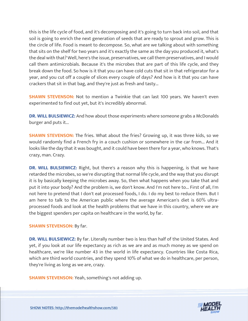this is the life cycle of food, and it's decomposing and it's going to turn back into soil, and that soil is going to enrich the next generation of seeds that are ready to sprout and grow. This is the circle of life. Food is meant to decompose. So, what are we talking about with something that sits on the shelf for two years and it's exactly the same as the day you produced it, what's the deal with that? Well, here's the issue, preservatives, we call them preservatives, and I would call them antimicrobials. Because it's the microbes that are part of this life cycle, and they break down the food. So how is it that you can have cold cuts that sit in that refrigerator for a year, and you cut off a couple of slices every couple of days? And how is it that you can have crackers that sit in that bag, and they're just as fresh and tasty...

**SHAWN STEVENSON:** Not to mention a Twinkie that can last 100 years. We haven't even experimented to find out yet, but it's incredibly abnormal.

**DR. WILL BULSIEWICZ:** And how about those experiments where someone grabs a McDonalds burger and puts it...

**SHAWN STEVENSON:** The fries. What about the fries? Growing up, it was three kids, so we would randomly find a French fry in a couch cushion or somewhere in the car from... And it looks like the day that it was bought, and it could have been there for a year, who knows. That's crazy, man. Crazy.

**DR. WILL BULSIEWICZ:** Right, but there's a reason why this is happening, is that we have retarded the microbes, so we're disrupting that normal life cycle, and the way that you disrupt it is by basically keeping the microbes away. So, then what happens when you take that and put it into your body? And the problem is, we don't know. And I'm not here to... First of all, I'm not here to pretend that I don't eat processed foods, I do. I do my best to reduce them. But I am here to talk to the American public where the average American's diet is 60% ultraprocessed foods and look at the health problems that we have in this country, where we are the biggest spenders per capita on healthcare in the world, by far.

#### **SHAWN STEVENSON:** By far.

**DR. WILL BULSIEWICZ:** By far. Literally number two is less than half of the United States. And yet, if you look at our life expectancy as rich as we are and as much money as we spend on healthcare, we're like number 43 in the world in life expectancy. Countries like Costa Rica, which are third world countries, and they spend 10% of what we do in healthcare, per person, they're living as long as we are, crazy.

**SHAWN STEVENSON:** Yeah, something's not adding up.

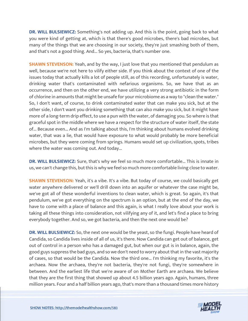**DR. WILL BULSIEWICZ:** Something's not adding up. And this is the point, going back to what you were kind of getting at, which is that there's good microbes, there's bad microbes, but many of the things that we are choosing in our society, they're just smashing both of them, and that's not a good thing. And... So yes, bacteria, that's number one.

**SHAWN STEVENSON:** Yeah, and by the way, I just love that you mentioned that pendulum as well, because we're not here to vilify either side. If you think about the context of one of the issues today that actually kills a lot of people still, as of this recording, unfortunately is water, drinking water that's contaminated with nefarious organisms. So, we have that as an occurrence, and then on the other end, we have utilizing a very strong antibiotic in the form of chlorine in amounts that might be unsafe for your microbiome as a way to "clean the water." So, I don't want, of course, to drink contaminated water that can make you sick, but at the other side, I don't want you drinking something that can also make you sick, but it might have more of a long-term drip effect, to use a pun with the water, of damaging you. So where is that graceful spot in the middle where we have a respect for the structure of water itself, the state of... Because even... And as I'm talking about this, I'm thinking about humans evolved drinking water, that was a lie, that would have exposure to what would probably be more beneficial microbes, but they were coming from springs. Humans would set up civilization, spots, tribes where the water was coming out. And today...

**DR. WILL BULSIEWICZ:** Sure, that's why we feel so much more comfortable... This is innate in us, we can't change this, but this is why we feel so much more comfortable living close to water.

**SHAWN STEVENSON:** Yeah, it's a vibe. It's a vibe. But today of course, we could basically get water anywhere delivered or we'll drill down into an aquifer or whatever the case might be, we've got all of these wonderful inventions to clean water, which is great. So again, it's that pendulum, we've got everything on the spectrum is an option, but at the end of the day, we have to come with a place of balance and this again, is what I really love about your work is taking all these things into consideration, not vilifying any of it, and let's find a place to bring everybody together. And so, we got bacteria, and then the next one would be?

**DR. WILL BULSIEWICZ:** So, the next one would be the yeast, so the fungi. People have heard of Candida, so Candida lives inside of all of us, it's there. Now Candida can get out of balance, get out of control in a person who has a damaged gut, but when our gut is in balance, again, the good guys suppress the bad guys, and so we don't need to worry about that in the vast majority of cases, so that would be the Candida. Now the third one... I'm thinking my favorite, it's the archaea. Now the archaea, they're not bacteria, they're not fungi, they're somewhere in between. And the earliest life that we're aware of on Mother Earth are archaea. We believe that they are the first thing that showed up about 4.5 billion years ago. Again, humans, three [million years. Four and a half billion years ago, that](https://themodelhealthshow.com/will-bulsiewicz-human-gut/)'[s more than a thousand times more history](https://themodelhealthshow.com/will-bulsiewicz-human-gut/)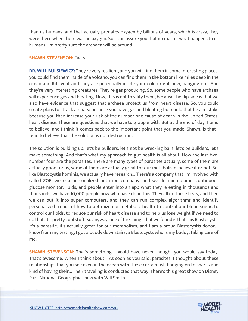than us humans, and that actually predates oxygen by billions of years, which is crazy, they were there when there was no oxygen. So, I can assure you that no matter what happens to us humans, I'm pretty sure the archaea will be around.

#### **SHAWN STEVENSON: Facts.**

**DR. WILL BULSIEWICZ:** They're very resilient, and you will find them in some interesting places, you could find them inside of a volcano, you can find them in the bottom like miles deep in the ocean and Rift vent and they are potentially inside your colon right now, hanging out. And they're very interesting creatures. They're gas producing. So, some people who have archaea will experience gas and bloating. Now, this is not to vilify them, because the flip side is that we also have evidence that suggest that archaea protect us from heart disease. So, you could create plans to attack archaea because you have gas and bloating but could that be a mistake because you then increase your risk of the number one cause of death in the United States, heart disease. These are questions that we have to grapple with. But at the end of day, I tend to believe, and I think it comes back to the important point that you made, Shawn, is that I tend to believe that the solution is not destruction.

The solution is building up, let's be builders, let's not be wrecking balls, let's be builders, let's make something. And that's what my approach to gut health is all about. Now the last two, number four are the parasites. There are many types of parasites actually, some of them are actually good for us, some of them are actually great for our metabolism, believe it or not. So, like Blastocystis hominis, we actually have research... There's a company that I'm involved with called ZOE, we're a personalized nutrition company, and we do microbiome, continuous glucose monitor, lipids, and people enter into an app what they're eating in thousands and thousands, we have 10,000 people now who have done this. They all do these tests, and then we can put it into super computers, and they can run complex algorithms and identify personalized trends of how to optimize our metabolic health to control our blood sugar, to control our lipids, to reduce our risk of heart disease and to help us lose weight if we need to do that. It's pretty cool stuff. So anyway, one of the things that we found is that this Blastocystis it's a parasite, it's actually great for our metabolism, and I am a proud Blastocystis donor. I know from my testing, I got a buddy downstairs, a Blastocysts who is my buddy, taking care of me.

**SHAWN STEVENSON:** That's something I would have never thought you would say today. That's awesome. When I think about... As soon as you said, parasites, I thought about these relationships that you see even in the ocean with these certain fish hanging on to sharks and kind of having their... Their traveling is conducted that way. There's this great show on Disney Plus, National Geographic show with Will Smith.

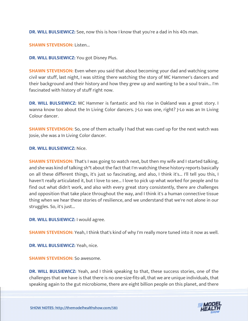**DR. WILL BULSIEWICZ:** See, now this is how I know that you're a dad in his 40s man.

**SHAWN STEVENSON: Listen...** 

**DR. WILL BULSIEWICZ:** You got Disney Plus.

**SHAWN STEVENSON:** Even when you said that about becoming your dad and watching some civil war stuff, last night, I was sitting there watching the story of MC Hammer's dancers and their background and their history and how they grew up and wanting to be a soul train... I'm fascinated with history of stuff right now.

**DR. WILL BULSIEWICZ:** MC Hammer is fantastic and his rise in Oakland was a great story. I wanna know too about the In Living Color dancers. J-Lo was one, right? J-Lo was an In Living Colour dancer.

**SHAWN STEVENSON:** So, one of them actually I had that was cued up for the next watch was Josie, she was a In Living Color dancer.

**DR. WILL BULSIEWICZ:** Nice.

**SHAWN STEVENSON:** That's I was going to watch next, but then my wife and I started talking, and she was kind of talking sh\*t about the fact that I'm watching these history reports basically on all these different things, it's just so fascinating, and also, I think it's... I'll tell you this, I haven't really articulated it, but I love to see... I love to pick up what worked for people and to find out what didn't work, and also with every great story consistently, there are challenges and opposition that take place throughout the way, and I think it's a human connective tissue thing when we hear these stories of resilience, and we understand that we're not alone in our struggles. So, it's just...

**DR. WILL BULSIEWICZ:** I would agree.

**SHAWN STEVENSON:** Yeah, I think that's kind of why I'm really more tuned into it now as well.

**DR. WILL BULSIEWICZ:** Yeah, nice.

**SHAWN STEVENSON: So awesome.** 

**DR. WILL BULSIEWICZ:** Yeah, and I think speaking to that, these success stories, one of the challenges that we have is that there is no one-size-fits-all, that we are unique individuals, that [speaking again to the gut microbiome, there are eight billion people on this planet, and there](https://themodelhealthshow.com/will-bulsiewicz-human-gut/)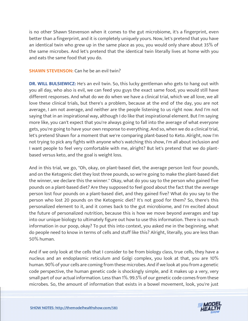is no other Shawn Stevenson when it comes to the gut microbiome, it's a fingerprint, even better than a fingerprint, and it is completely uniquely yours. Now, let's pretend that you have an identical twin who grew up in the same place as you, you would only share about 35% of the same microbes. And let's pretend that the identical twin literally lives at home with you and eats the same food that you do.

**SHAWN STEVENSON:** Can he be an evil twin?

**DR. WILL BULSIEWICZ:** He's an evil twin. So, this lucky gentleman who gets to hang out with you all day, who also is evil, we can feed you guys the exact same food, you would still have different responses. And what do we do when we have a clinical trial, which we all love, we all love these clinical trials, but there's a problem, because at the end of the day, you are not average, I am not average, and neither are the people listening to us right now. And I'm not saying that in an inspirational way, although I do like that inspirational element. But I'm saying more like, you can't expect that you're always going to fall into the average of what everyone gets, you're going to have your own response to everything. And so, when we do a clinical trial, let's pretend Shawn for a moment that we're comparing plant-based to Keto. Alright, now I'm not trying to pick any fights with anyone who's watching this show, I'm all about inclusion and I want people to feel very comfortable with me, alright? But let's pretend that we do plantbased versus keto, and the goal is weight loss.

And in this trial, we go, "Oh, okay, on plant-based diet, the average person lost four pounds, and on the Ketogenic diet they lost three pounds, so we're going to make the plant-based diet the winner, we declare this the winner." Okay, what do you say to the person who gained five pounds on a plant-based diet? Are they supposed to feel good about the fact that the average person lost four pounds on a plant-based diet, and they gained five? What do you say to the person who lost 20 pounds on the Ketogenic diet? It's not good for them? So, there's this personalized element to it, and it comes back to the gut microbiome, and I'm excited about the future of personalized nutrition, because this is how we move beyond averages and tap into our unique biology to ultimately figure out how to use this information. There is so much information in our poop, okay? To put this into context, you asked me in the beginning, what do people need to know in terms of cells and stuff like this? Alright, literally, you are less than 50% human.

And if we only look at the cells that I consider to be from biology class, true cells, they have a nucleus and an endoplasmic reticulum and Golgi complex, you look at that, you are 10% human. 90% of your cells are coming from these microbes. And if we look at you from a genetic code perspective, the human genetic code is shockingly simple, and it makes up a very, very small part of our actual information. Less than 1%. 99.5% of our genetic code comes from these [microbes. So, the amount of information that exists in a bowel movement, look, you](https://themodelhealthshow.com/will-bulsiewicz-human-gut/)'[re just](https://themodelhealthshow.com/will-bulsiewicz-human-gut/)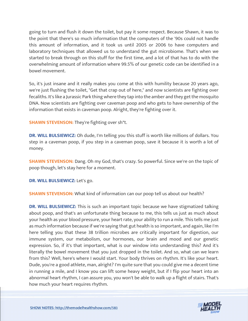going to turn and flush it down the toilet, but pay it some respect. Because Shawn, it was to the point that there's so much information that the computers of the '90s could not handle this amount of information, and it took us until 2005 or 2006 to have computers and laboratory techniques that allowed us to understand the gut microbiome. That's when we started to break through on this stuff for the first time, and a lot of that has to do with the overwhelming amount of information where 99.5% of our genetic code can be identified in a bowel movement.

So, it's just insane and it really makes you come at this with humility because 20 years ago, we're just flushing the toilet, "Get that crap out of here," and now scientists are fighting over fecaliths. It's like a Jurassic Park thing where they tap into the amber and they get the mosquito DNA. Now scientists are fighting over caveman poop and who gets to have ownership of the information that exists in caveman poop. Alright, they're fighting over it.

**SHAWN STEVENSON:** They're fighting over sh\*t.

**DR. WILL BULSIEWICZ:** Oh dude, I'm telling you this stuff is worth like millions of dollars. You step in a caveman poop, if you step in a caveman poop, save it because it is worth a lot of money.

**SHAWN STEVENSON:** Dang. Oh my God, that's crazy. So powerful. Since we're on the topic of poop though, let's stay here for a moment.

**DR. WILL BULSIEWICZ:** Let's go.

**SHAWN STEVENSON:** What kind of information can our poop tell us about our health?

**DR. WILL BULSIEWICZ:** This is such an important topic because we have stigmatized talking about poop, and that's an unfortunate thing because to me, this tells us just as much about your health as your blood pressure, your heart rate, your ability to run a mile. This tells me just as much information because if we're saying that gut health is so important, and again, like I'm here telling you that these 38 trillion microbes are critically important for digestion, our immune system, our metabolism, our hormones, our brain and mood and our genetic expression. So, if it's that important, what is our window into understanding this? And it's literally the bowel movement that you just dropped in the toilet. And so, what can we learn from this? Well, here's where I would start. Your body thrives on rhythm. It's like your heart. Dude, you're a good athlete, man, alright? I'm quite sure that you could give me a decent time in running a mile, and I know you can lift some heavy weight, but if I flip your heart into an abnormal heart rhythm, I can assure you, you won't be able to walk up a flight of stairs. That's [how much your heart requires rhythm.](https://themodelhealthshow.com/will-bulsiewicz-human-gut/)

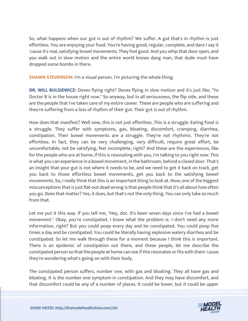So, what happens when our gut is out of rhythm? We suffer. A gut that's in rhythm is just effortless. You are enjoying your food. You're having good, regular, complete, and dare I say it 'cause it's real, satisfying bowel movements. They feel good. And you whip that door open, and you walk out in slow motion and the entire world knows dang man, that dude must have dropped some bombs in there.

**SHAWN STEVENSON:** I'm a visual person. I'm picturing the whole thing.

**DR. WILL BULSIEWICZ:** Doves flying right? Doves flying in slow motion and it's just like, "Yo Doctor B is in the house right now." So anyway, but in all seriousness, the flip side, and these are the people that I've taken care of my entire career. These are people who are suffering and they're suffering from a loss of rhythm of their gut. Their gut is out of rhythm.

How does that manifest? Well now, this is not just effortless. This is a struggle. Eating food is a struggle. They suffer with symptoms, gas, bloating, discomfort, cramping, diarrhea, constipation. Their bowel movements are a struggle. They're not rhythmic. They're not effortless. In fact, they can be very challenging, very difficult, require great effort, be uncomfortable, not be satisfying, feel incomplete, right? And these are the experiences, like for the people who are at home, if this is resonating with you, I'm talking to you right now. This is what you can experience in a bowel movement, in the bathroom, behind a closed door. That's an insight that your gut is not where it needs to be, and we need to get it back on track, get you back to those effortless bowel movements, get you back to the satisfying bowel movements. So, I really think that this is an important thing to look at. Now, one of the biggest misconceptions that is just flat-out dead wrong is that people think that it's all about how often you go. Does that matter? Yes, it does, but that's not the only thing. You can only take so much from that.

Let me put it this way. If you tell me, "Hey, doc. It's been seven days since I've had a bowel movement." Okay, you're constipated. I know what the problem is. I don't need any more information, right? But you could poop every day and be constipated. You could poop five times a day and be constipated. You could be literally having explosive watery diarrhea and be constipated. So let me walk through these for a moment because I think this is important. There is an epidemic of constipation out there, and these people, let me describe the constipated person so that the people at home can see if this resonates or fits with them 'cause they're wondering what's going on with their body.

The constipated person suffers, number one, with gas and bloating. They all have gas and bloating. It is the number one symptom in constipation. And they may have discomfort, and [that discomfort could be any of a number of places. It could be lower, but it could be upper](https://themodelhealthshow.com/will-bulsiewicz-human-gut/) 

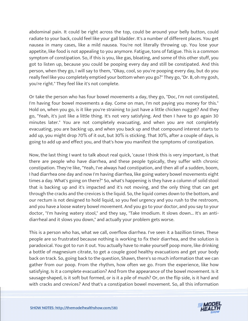abdominal pain. It could be right across the top, could be around your belly button, could radiate to your back, could feel like your gall bladder. It's a number of different places. You get nausea in many cases, like a mild nausea. You're not literally throwing up. You lose your appetite, like food is not appealing to you anymore. Fatigue, tons of fatigue. This is a common symptom of constipation. So, if this is you, like gas, bloating, and some of this other stuff, you got to listen up, because you could be pooping every day and still be constipated. And this person, when they go, I will say to them, "Okay, cool, so you're pooping every day, but do you really feel like you completely emptied your bottom when you go?" They go, "Dr. B, oh my gosh, you're right." They feel like it's not complete.

Or take the person who has four bowel movements a day, they go, "Doc, I'm not constipated, I'm having four bowel movements a day. Come on man, I'm not paying you money for this." Hold on, when you go, is it like you're straining to just have a little chicken nugget? And they go, "Yeah, it's just like a little thing. It's not very satisfying. And then I have to go again 30 minutes later." You are not completely evacuating, and when you are not completely evacuating, you are backing up, and when you back up and that compound interest starts to add up, you might drop 70% of it out, but 30% is sticking. That 30%, after a couple of days, is going to add up and effect you, and that's how you manifest the symptoms of constipation.

Now, the last thing I want to talk about real quick, 'cause I think this is very important, is that there are people who have diarrhea, and these people typically, they suffer with chronic constipation. They're like, "Yeah, I've always had constipation, and then all of a sudden, boom, I had diarrhea one day and now I'm having diarrhea, like going watery bowel movements eight times a day. What's going on there?" So, what's happening is they have a column of solid stool that is backing up and it's impacted and it's not moving, and the only thing that can get through the cracks and the crevices is the liquid. So, the liquid comes down to the bottom, and our rectum is not designed to hold liquid, so you feel urgency and you rush to the restroom, and you have a loose watery bowel movement. And you go to your doctor, and you say to your doctor, "I'm having watery stool," and they say, "Take Imodium. It slows down... It's an antidiarrheal and it slows you down," and actually your problem gets worse.

This is a person who has, what we call, overflow diarrhea. I've seen it a bazillion times. These people are so frustrated because nothing is working to fix their diarrhea, and the solution is paradoxical. You got to run it out. You actually have to make yourself poop more, like drinking a bottle of magnesium citrate, to get a couple good healthy evacuations and get your body back on track. So, going back to the question, Shawn, there's so much information that we can gather from our poop. From the rhythm, how often we go. From the experience, like how satisfying. Is it a complete evacuation? And from the appearance of the bowel movement. Is it sausage-shaped, is it soft but formed, or is it a pile of mush? Or, on the flip side, is it hard and with cracks and [crevices? And that](https://themodelhealthshow.com/will-bulsiewicz-human-gut/)'[s a constipation bowel movement. So, all this information](https://themodelhealthshow.com/will-bulsiewicz-human-gut/)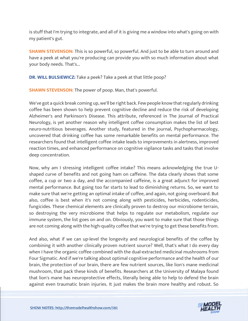is stuff that I'm trying to integrate, and all of it is giving me a window into what's going on with my patient's gut.

**SHAWN STEVENSON:** This is so powerful, so powerful. And just to be able to turn around and have a peek at what you're producing can provide you with so much information about what your body needs. That's...

**DR. WILL BULSIEWICZ:** Take a peek? Take a peek at that little poop?

**SHAWN STEVENSON:** The power of poop. Man, that's powerful.

We've got a quick break coming up, we'll be right back. Few people know that regularly drinking coffee has been shown to help prevent cognitive decline and reduce the risk of developing Alzheimer's and Parkinson's Disease. This attribute, referenced in The Journal of Practical Neurology, is yet another reason why intelligent coffee consumption makes the list of best neuro-nutritious beverages. Another study, featured in the journal, Psychopharmacology, uncovered that drinking coffee has some remarkable benefits on mental performance. The researchers found that intelligent coffee intake leads to improvements in alertness, improved reaction times, and enhanced performance on cognitive vigilance tasks and tasks that involve deep concentration.

Now, why am I stressing intelligent coffee intake? This means acknowledging the true Ushaped curve of benefits and not going ham on caffeine. The data clearly shows that some coffee, a cup or two a day, and the accompanied caffeine, is a great adjunct for improved mental performance. But going too far starts to lead to diminishing returns. So, we want to make sure that we're getting an optimal intake of coffee, and again, not going overboard. But also, coffee is best when it's not coming along with pesticides, herbicides, rodenticides, fungicides. These chemical elements are clinically proven to destroy our microbiome terrain, so destroying the very microbiome that helps to regulate our metabolism, regulate our immune system, the list goes on and on. Obviously, you want to make sure that those things are not coming along with the high-quality coffee that we're trying to get these benefits from.

And also, what if we can up-level the longevity and neurological benefits of the coffee by combining it with another clinically proven nutrient source? Well, that's what I do every day when I have the organic coffee combined with the dual-extracted medicinal mushrooms from Four Sigmatic. And if we're talking about optimal cognitive performance and the health of our brain, the protection of our brain, there are few nutrient sources, like lion's mane medicinal mushroom, that pack these kinds of benefits. Researchers at the University of Malaya found that lion's mane has neuroprotective effects, literally being able to help to defend the brain [against even traumatic brain injuries. It just makes the brain more healthy and robust. So](https://themodelhealthshow.com/will-bulsiewicz-human-gut/)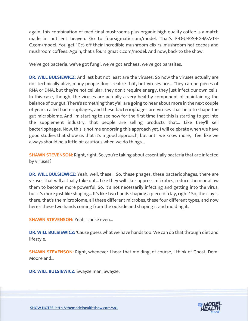again, this combination of medicinal mushrooms plus organic high-quality coffee is a match made in nutrient heaven. Go to foursigmatic.com/model. That's F-O-U-R-S-I-G-M-A-T-I-C.com/model. You get 10% off their incredible mushroom elixirs, mushroom hot cocoas and mushroom coffees. Again, that's foursigmatic.com/model. And now, back to the show.

We've got bacteria, we've got fungi, we've got archaea, we've got parasites.

**DR. WILL BULSIEWICZ:** And last but not least are the viruses. So now the viruses actually are not technically alive, many people don't realize that, but viruses are... They can be pieces of RNA or DNA, but they're not cellular, they don't require energy, they just infect our own cells. In this case, though, the viruses are actually a very healthy component of maintaining the balance of our gut. There's something that y'all are going to hear about more in the next couple of years called bacteriophages, and these bacteriophages are viruses that help to shape the gut microbiome. And I'm starting to see now for the first time that this is starting to get into the supplement industry, that people are selling products that... Like they'll sell bacteriophages. Now, this is not me endorsing this approach yet. I will celebrate when we have good studies that show us that it's a good approach, but until we know more, I feel like we always should be a little bit cautious when we do things...

**SHAWN STEVENSON:** Right, right. So, you're taking about essentially bacteria that are infected by viruses?

**DR. WILL BULSIEWICZ:** Yeah, well, these... So, these phages, these bacteriophages, there are viruses that will actually take out... Like they will like suppress microbes, reduce them or allow them to become more powerful. So, it's not necessarily infecting and getting into the virus, but it's more just like shaping... It's like two hands shaping a piece of clay, right? So, the clay is there, that's the microbiome, all these different microbes, these four different types, and now here's these two hands coming from the outside and shaping it and molding it.

**SHAWN STEVENSON: Yeah. 'cause even...** 

**DR. WILL BULSIEWICZ:** 'Cause guess what we have hands too. We can do that through diet and lifestyle.

**SHAWN STEVENSON:** Right, whenever I hear that molding, of course, I think of Ghost, Demi Moore and...

**DR. WILL BULSIEWICZ:** Swayze man, Swayze.

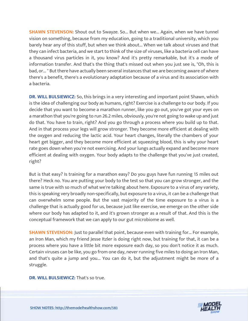**SHAWN STEVENSON:** Shout out to Swayze. So... But when we... Again, when we have tunnel vision on something, because from my education, going to a traditional university, which you barely hear any of this stuff, but when we think about... When we talk about viruses and that they can infect bacteria, and we start to think of the size of viruses, like a bacteria cell can have a thousand virus particles in it, you know? And it's pretty remarkable, but it's a mode of information transfer. And that's the thing that's missed out when you just see is, "Oh, this is bad, or... " But there have actually been several instances that we are becoming aware of where there's a benefit, there's a evolutionary adaptation because of a virus and its association with a bacteria.

**DR. WILL BULSIEWICZ:** So, this brings in a very interesting and important point Shawn, which is the idea of challenging our body as humans, right? Exercise is a challenge to our body. If you decide that you want to become a marathon runner, like you go out, you've got your eyes on a marathon that you're going to run 26.2 miles, obviously, you're not going to wake up and just do that. You have to train, right? And you go through a process where you build up to that. And in that process your legs will grow stronger. They become more efficient at dealing with the oxygen and reducing the lactic acid. Your heart changes, literally the chambers of your heart get bigger, and they become more efficient at squeezing blood, this is why your heart rate goes down when you're not exercising. And your lungs actually expand and become more efficient at dealing with oxygen. Your body adapts to the challenge that you've just created, right?

But is that easy? Is training for a marathon easy? Do you guys have fun running 15 miles out there? Heck no. You are putting your body to the test so that you can grow stronger, and the same is true with so much of what we're talking about here. Exposure to a virus of any variety, this is speaking very broadly non-specifically, but exposure to a virus, it can be a challenge that can overwhelm some people. But the vast majority of the time exposure to a virus is a challenge that is actually good for us, because just like exercise, we emerge on the other side where our body has adapted to it, and it's grown stronger as a result of that. And this is the conceptual framework that we can apply to our gut microbiome as well.

**SHAWN STEVENSON:** Just to parallel that point, because even with training for... For example, an Iron Man, which my friend Jesse Itzler is doing right now, but training for that, it can be a process where you have a little bit more exposure each day, so you don't notice it as much. Certain viruses can be like, you go from one day, never running five miles to doing an Iron Man, and that's quite a jump and you... You can do it, but the adjustment might be more of a struggle.

**DR. WILL BULSIEWICZ:** That's so true.

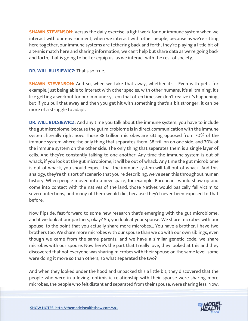**SHAWN STEVENSON:** Versus the daily exercise, a light work for our immune system when we interact with our environment, when we interact with other people, because as we're sitting here together, our immune systems are tethering back and forth, they're playing a little bit of a tennis match here and sharing information, we can't help but share data as we're going back and forth, that is going to better equip us, as we interact with the rest of society.

**DR. WILL BULSIEWICZ:** That's so true.

**SHAWN STEVENSON:** And so, when we take that away, whether it's... Even with pets, for example, just being able to interact with other species, with other humans, it's all training, it's like getting a workout for our immune system that often times we don't realize it's happening, but if you pull that away and then you get hit with something that's a bit stronger, it can be more of a struggle to adapt.

**DR. WILL BULSIEWICZ:** And any time you talk about the immune system, you have to include the gut microbiome, because the gut microbiome is in direct communication with the immune system, literally right now. Those 38 trillion microbes are sitting opposed from 70% of the immune system where the only thing that separates them, 38 trillion on one side, and 70% of the immune system on the other side. The only thing that separates them is a single layer of cells. And they're constantly talking to one another. Any time the immune system is out of whack, if you look at the gut microbiome, it will be out of whack. Any time the gut microbiome is out of whack, you should expect that the immune system will fall out of whack. And this analogy, they're this sort of scenario that you're describing, we've seen this throughout human history. When people moved into a new space, for example, Europeans would show up and come into contact with the natives of the land, those Natives would basically fall victim to severe infections, and many of them would die, because they'd never been exposed to that before.

Now flipside, fast-forward to some new research that's emerging with the gut microbiome, and if we look at our partners, okay? So, you look at your spouse. We share microbes with our spouse, to the point that you actually share more microbes... You have a brother. I have two brothers too. We share more microbes with our spouse than we do with our own siblings, even though we came from the same parents, and we have a similar genetic code, we share microbes with our spouse. Now here's the part that I really love, they looked at this and they discovered that not everyone was sharing microbes with their spouse on the same level, some were doing it more so than others, so what separated the two?

And when they looked under the hood and unpacked this a little bit, they discovered that the people who were in a loving, optimistic relationship with their spouse were sharing more [microbes, the people who felt distant and separated from their spouse, were sharing less. Now,](https://themodelhealthshow.com/will-bulsiewicz-human-gut/) 

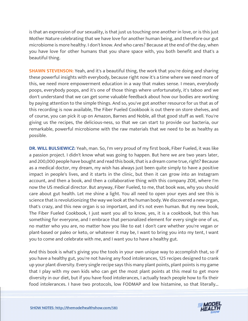is that an expression of our sexuality, is that just us touching one another in love, or is this just Mother Nature celebrating that we have love for another human being, and therefore our gut microbiome is more healthy. I don't know. And who cares? Because at the end of the day, when you have love for other humans that you share space with, you both benefit and that's a beautiful thing.

**SHAWN STEVENSON:** Yeah, and it's a beautiful thing, the work that you're doing and sharing these powerful insights with everybody, because right now it's a time where we need more of this, we need more empowerment education in a way that makes sense. I mean, everybody poops, everybody poops, and it's one of those things where unfortunately, it's taboo and we don't understand that we can get some valuable feedback about how our bodies are working by paying attention to the simple things. And so, you've got another resource for us that as of this recording is now available, The Fiber Fueled Cookbook is out there on store shelves, and of course, you can pick it up on Amazon, Barnes and Noble, all that good stuff as well. You're giving us the recipes, the delicious-ness, so that we can start to provide our bacteria, our remarkable, powerful microbiome with the raw materials that we need to be as healthy as possible.

**DR. WILL BULSIEWICZ:** Yeah, man. So, I'm very proud of my first book, Fiber Fueled, it was like a passion project. I didn't know what was going to happen. But here we are two years later, and 200,000 people have bought and read this book, that is a dream come true, right? Because as a medical doctor, my dream, my wish has always just been quite simply to have a positive impact in people's lives, and it starts in the clinic, but then it can grow into an Instagram account, and then a book, and then a collaborative thing with this company ZOE, where I'm now the US medical director. But anyway, Fiber Fueled, to me, that book was, why you should care about gut health. Let me shine a light. You all need to open your eyes and see this is science that is revolutionizing the way we look at the human body. We discovered a new organ, that's crazy, and this new organ is so important, and it's not even human. But my new book, The Fiber Fueled Cookbook, I just want you all to know, yes, it is a cookbook, but this has something for everyone, and I embrace that personalized element for every single one of us, no matter who you are, no matter how you like to eat I don't care whether you're vegan or plant-based or paleo or keto, or whatever it may be, I want to bring you into my tent, I want you to come and celebrate with me, and I want you to have a healthy gut.

And this book is what's giving you the tools in your own unique way to accomplish that, so if you have a healthy gut, you're not having any food intolerances, 125 recipes designed to crank up your plant diversity. Every single recipe says this many plant points, plant points is my game that I play with my own kids who can get the most plant points at this meal to get more diversity in our diet, but if you have food intolerances, I actually teach people how to fix their [food intolerances. I have two protocols, low FODMAP and low histamine, so that literally...](https://themodelhealthshow.com/will-bulsiewicz-human-gut/)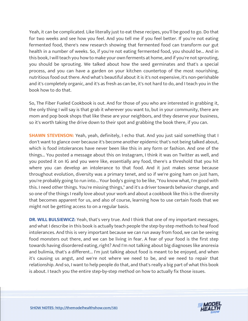Yeah, it can be complicated. Like literally just to eat these recipes, you'll be good to go. Do that for two weeks and see how you feel. And you tell me if you feel better. If you're not eating fermented food, there's new research showing that fermented food can transform our gut health in a number of weeks. So, if you're not eating fermented food, you should be... And in this book, I will teach you how to make your own ferments at home, and if you're not sprouting, you should be sprouting. We talked about how the seed germinates and that's a special process, and you can have a garden on your kitchen countertop of the most nourishing, nutritious food out there. And what's beautiful about it is it's not expensive, it's non-perishable and it's completely organic, and it's as fresh as can be, it's not hard to do, and I teach you in the book how to do that.

So, The Fiber Fueled Cookbook is out. And for those of you who are interested in grabbing it, the only thing I will say is that grab it wherever you want to, but in your community, there are mom and pop book shops that like these are your neighbors, and they deserve your business, so it's worth taking the drive down to their spot and grabbing the book there, if you can.

**SHAWN STEVENSON:** Yeah, yeah, definitely, I echo that. And you just said something that I don't want to glance over because it's become another epidemic that's not being talked about, which is food intolerances have never been like this in any form or fashion. And one of the things... You posted a message about this on Instagram, I think it was on Twitter as well, and you posted it on IG and you were like, essentially any food, there's a threshold that you hit where you can develop an intolerance to that food. And it just makes sense because throughout evolution, diversity was a primary tenet, and so if we're going ham on just ham, you're probably going to run into... Your body's going to be like, "You know what, I'm good with this. I need other things. You're missing things," and it's a driver towards behavior change, and so one of the things I really love about your work and about a cookbook like this is the diversity that becomes apparent for us, and also of course, learning how to use certain foods that we might not be getting access to on a regular basis.

**DR. WILL BULSIEWICZ:** Yeah, that's very true. And I think that one of my important messages, and what I describe in this book is actually teach people the step-by-step methods to heal food intolerances. And this is very important because we can run away from food, we can be seeing food monsters out there, and we can be living in fear. A fear of your food is the first step towards having disordered eating, right? And I'm not talking about big diagnoses like anorexia and bulimia, that's a different... I'm just talking about food is meant to be enjoyed, and when it's causing us angst, and we're not where we need to be, and we need to repair that relationship. And so, I want to help people do that, and that's really a big part of what this book is about. I teach you the entire step-by-step method on how to actually fix those issues.

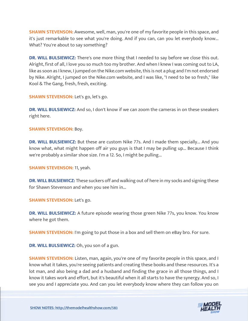**SHAWN STEVENSON:** Awesome, well, man, you're one of my favorite people in this space, and it's just remarkable to see what you're doing. And if you can, can you let everybody know... What? You're about to say something?

**DR. WILL BULSIEWICZ:** There's one more thing that I needed to say before we close this out. Alright, first of all, I love you so much too my brother. And when I knew I was coming out to LA, like as soon as I knew, I jumped on the Nike.com website, this is not a plug and I'm not endorsed by Nike. Alright, I jumped on the Nike.com website, and I was like, "I need to be so fresh," like Kool & The Gang, fresh, fresh, exciting.

**SHAWN STEVENSON:** Let's go, let's go.

**DR. WILL BULSIEWICZ:** And so, I don't know if we can zoom the cameras in on these sneakers right here.

#### **SHAWN STEVENSON: Boy.**

**DR. WILL BULSIEWICZ:** But these are custom Nike 77s. And I made them specially... And you know what, what might happen off air you guys is that I may be pulling up... Because I think we're probably a similar shoe size. I'm a 12. So, I might be pulling...

**SHAWN STEVENSON:** 11, yeah.

**DR. WILL BULSIEWICZ:** These suckers off and walking out of here in my socks and signing these for Shawn Stevenson and when you see him in...

**SHAWN STEVENSON: Let's go.** 

**DR. WILL BULSIEWICZ:** A future episode wearing those green Nike 77s, you know. You know where he got them.

**SHAWN STEVENSON:** I'm going to put those in a box and sell them on eBay bro. For sure.

**DR. WILL BULSIEWICZ:** Oh, you son of a gun.

**SHAWN STEVENSON:** Listen, man, again, you're one of my favorite people in this space, and I know what it takes, you're seeing patients and creating these books and these resources. It's a lot man, and also being a dad and a husband and finding the grace in all those things, and I know it takes work and effort, but it's beautiful when it all starts to have the synergy. And so, I [see you and I appreciate you. And can you let everybody know where they can follow you on](https://themodelhealthshow.com/will-bulsiewicz-human-gut/)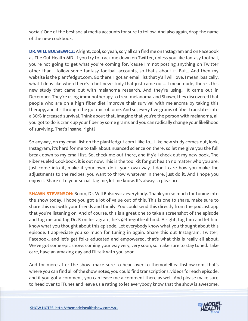social? One of the best social media accounts for sure to follow. And also again, drop the name of the new cookbook.

**DR. WILL BULSIEWICZ:** Alright, cool, so yeah, so y'all can find me on Instagram and on Facebook as The Gut Health MD. If you try to track me down on Twitter, unless you like fantasy football, you're not going to get what you're coming for, 'cause I'm not posting anything on Twitter other than I follow some fantasy football accounts, so that's about it. But... And then my website is the plantfedgut.com. Go there. I got an email list that y'all will love. I mean, basically, what I do is like when there's a hot new study that just came out... I mean dude, there's this new study that came out with melanoma research. And they're using... It came out in December. They're using immunotherapy to treat melanoma, and Shawn, they discovered that people who are on a high fiber diet improve their survival with melanoma by taking this therapy, and it's through the gut microbiome. And so, every five grams of fiber translates into a 30% increased survival. Think about that, imagine that you're the person with melanoma, all you got to do is crank up your fiber by some grams and you can radically change your likelihood of surviving. That's insane, right?

So anyway, on my email list on the plantfedgut.com I like to... Like new study comes out, look, Instagram, it's hard for me to talk about nuanced science on there, so let me give you the full break down to my email list. So, check me out there, and if y'all check out my new book, The Fiber Fueled Cookbook, it is out now. This is the tool kit for gut health no matter who you are. Just come into it, make it your own, do it your own way. I don't care how you make the adjustments to the recipes; you want to throw whatever in there, just do it. And I hope you enjoy it. Share it to your social, tag me, let me know. It's always a pleasure.

**SHAWN STEVENSON:** Boom, Dr. Will Bulsiewicz everybody. Thank you so much for tuning into the show today. I hope you got a lot of value out of this. This is one to share, make sure to share this out with your friends and family. You could send this directly from the podcast app that you're listening on. And of course, this is a great one to take a screenshot of the episode and tag me and tag Dr. B on Instagram, he's @theguthealthmd. Alright, tag him and let him know what you thought about this episode. Let everybody know what you thought about this episode. I appreciate you so much for tuning in again. Share this out Instagram, Twitter, Facebook, and let's get folks educated and empowered, that's what this is really all about. We've got some epic shows coming your way very, very soon, so make sure to stay tuned. Take care, have an amazing day and I'll talk with you soon.

And for more after the show, make sure to head over to themodelhealthshow.com, that's where you can find all of the show notes, you could find transcriptions, videos for each episode, and if you got a comment, you can leave me a comment there as well. And please make sure [to head over to iTunes and leave us a rating to let everybody know that the show is awesome,](https://themodelhealthshow.com/will-bulsiewicz-human-gut/)